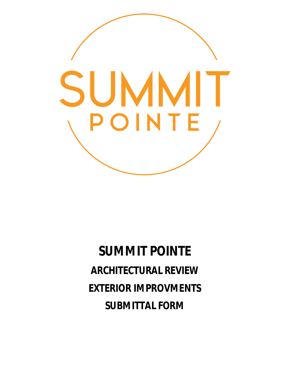

**SUMMIT POINTE ARCHITECTURAL REVIEW EXTERIOR IMPROVMENTS SUBMITTAL FORM**